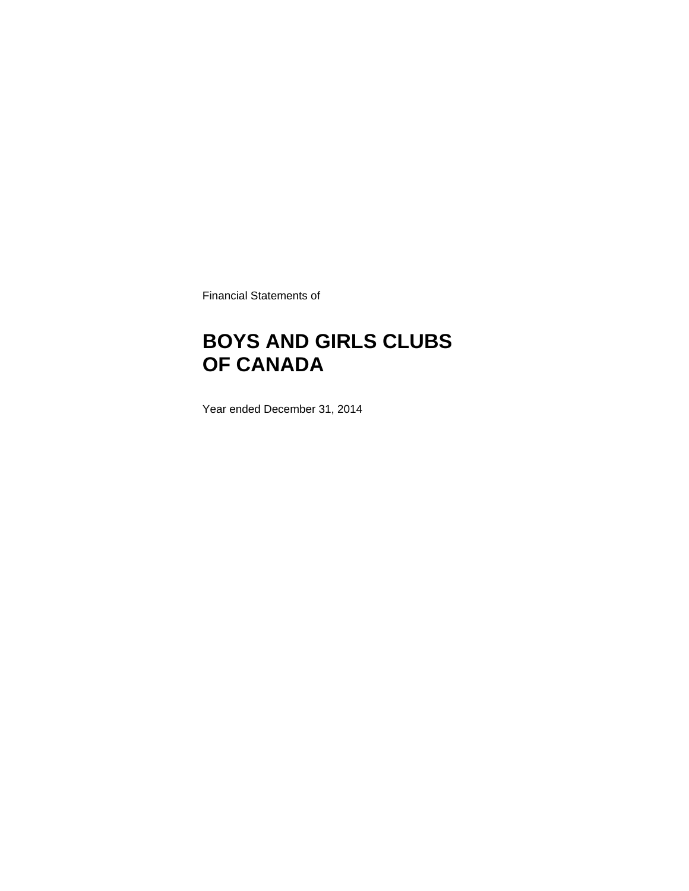Financial Statements of

### **BOYS AND GIRLS CLUBS OF CANADA**

Year ended December 31, 2014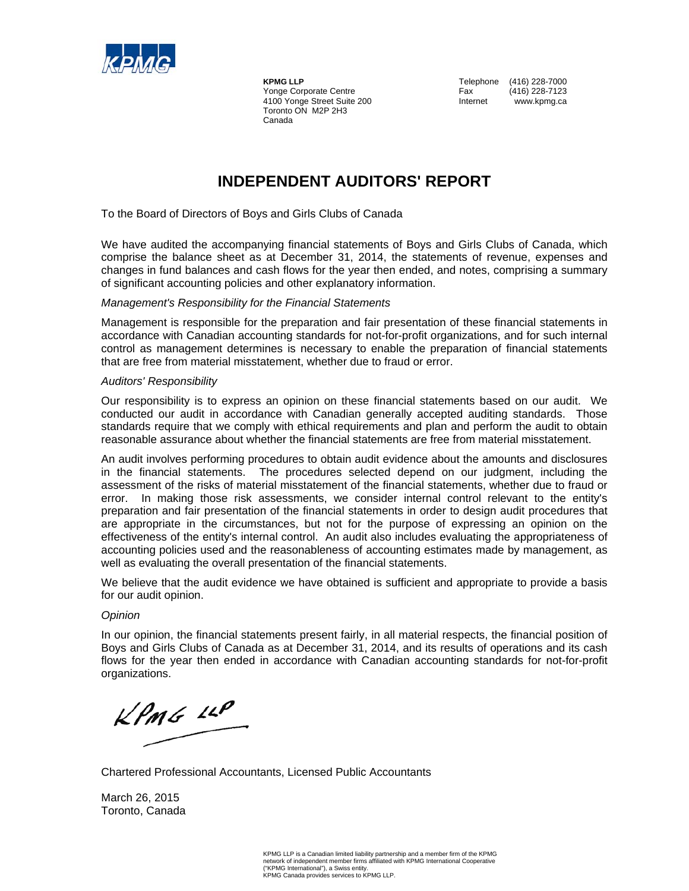

**KPMG LLP**<br>
Yonge Corporate Centre<br>
Yonge Corporate Centre<br>
Tax (416) 228-7123 Yonge Corporate Centre Fax Fax<br>4100 Yonge Street Suite 200 4100 Yonge Street Suite 200 Internet www.kpmg.ca Toronto ON M2P 2H3 Canada

### **INDEPENDENT AUDITORS' REPORT**

To the Board of Directors of Boys and Girls Clubs of Canada

We have audited the accompanying financial statements of Boys and Girls Clubs of Canada, which comprise the balance sheet as at December 31, 2014, the statements of revenue, expenses and changes in fund balances and cash flows for the year then ended, and notes, comprising a summary of significant accounting policies and other explanatory information.

#### *Management's Responsibility for the Financial Statements*

Management is responsible for the preparation and fair presentation of these financial statements in accordance with Canadian accounting standards for not-for-profit organizations, and for such internal control as management determines is necessary to enable the preparation of financial statements that are free from material misstatement, whether due to fraud or error.

#### *Auditors' Responsibility*

Our responsibility is to express an opinion on these financial statements based on our audit. We conducted our audit in accordance with Canadian generally accepted auditing standards. Those standards require that we comply with ethical requirements and plan and perform the audit to obtain reasonable assurance about whether the financial statements are free from material misstatement.

An audit involves performing procedures to obtain audit evidence about the amounts and disclosures in the financial statements. The procedures selected depend on our judgment, including the assessment of the risks of material misstatement of the financial statements, whether due to fraud or error. In making those risk assessments, we consider internal control relevant to the entity's preparation and fair presentation of the financial statements in order to design audit procedures that are appropriate in the circumstances, but not for the purpose of expressing an opinion on the effectiveness of the entity's internal control. An audit also includes evaluating the appropriateness of accounting policies used and the reasonableness of accounting estimates made by management, as well as evaluating the overall presentation of the financial statements.

We believe that the audit evidence we have obtained is sufficient and appropriate to provide a basis for our audit opinion.

#### *Opinion*

In our opinion, the financial statements present fairly, in all material respects, the financial position of Boys and Girls Clubs of Canada as at December 31, 2014, and its results of operations and its cash flows for the year then ended in accordance with Canadian accounting standards for not-for-profit organizations.

 $k$ *PmG*  $44$ 

Chartered Professional Accountants, Licensed Public Accountants

March 26, 2015 Toronto, Canada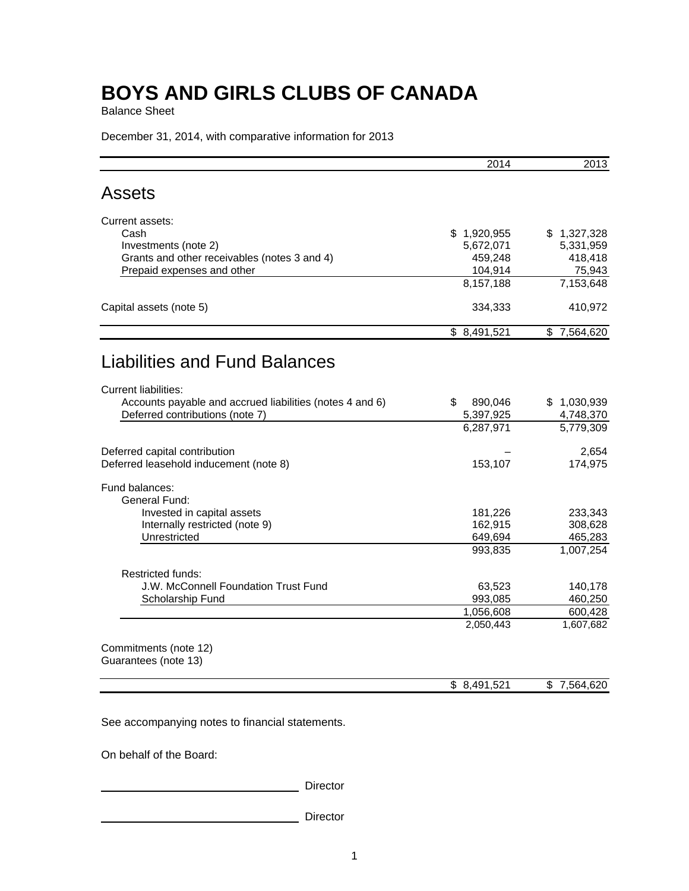Balance Sheet

December 31, 2014, with comparative information for 2013

|                                                          | 2014          | 2013                   |
|----------------------------------------------------------|---------------|------------------------|
| <b>Assets</b>                                            |               |                        |
| Current assets:                                          |               |                        |
| Cash                                                     | \$1,920,955   | \$1,327,328            |
| Investments (note 2)                                     | 5,672,071     | 5,331,959              |
| Grants and other receivables (notes 3 and 4)             | 459,248       | 418,418                |
| Prepaid expenses and other                               | 104,914       | 75,943                 |
|                                                          | 8,157,188     | 7,153,648              |
| Capital assets (note 5)                                  | 334,333       | 410,972                |
|                                                          | \$8,491,521   | \$7,564,620            |
| <b>Liabilities and Fund Balances</b>                     |               |                        |
|                                                          |               |                        |
| Current liabilities:                                     |               |                        |
| Accounts payable and accrued liabilities (notes 4 and 6) | \$<br>890,046 | \$1,030,939            |
| Deferred contributions (note 7)                          | 5,397,925     | 4,748,370              |
|                                                          | 6,287,971     | 5,779,309              |
| Deferred capital contribution                            |               | 2,654                  |
| Deferred leasehold inducement (note 8)                   | 153,107       | 174,975                |
| Fund balances:                                           |               |                        |
| General Fund:                                            |               |                        |
| Invested in capital assets                               | 181,226       | 233,343                |
| Internally restricted (note 9)                           | 162,915       | 308,628                |
| Unrestricted                                             | 649,694       | 465,283                |
|                                                          | 993,835       | $\overline{1,007,254}$ |
| Restricted funds:                                        |               |                        |
| J.W. McConnell Foundation Trust Fund                     | 63,523        | 140,178                |
| Scholarship Fund                                         | 993,085       | 460,250                |
|                                                          | 1,056,608     | 600,428                |
|                                                          | 2,050,443     | 1,607,682              |
| Commitments (note 12)                                    |               |                        |
| Guarantees (note 13)                                     |               |                        |
|                                                          | \$ 8,491,521  | \$7,564,620            |

See accompanying notes to financial statements.

On behalf of the Board:

Director

Director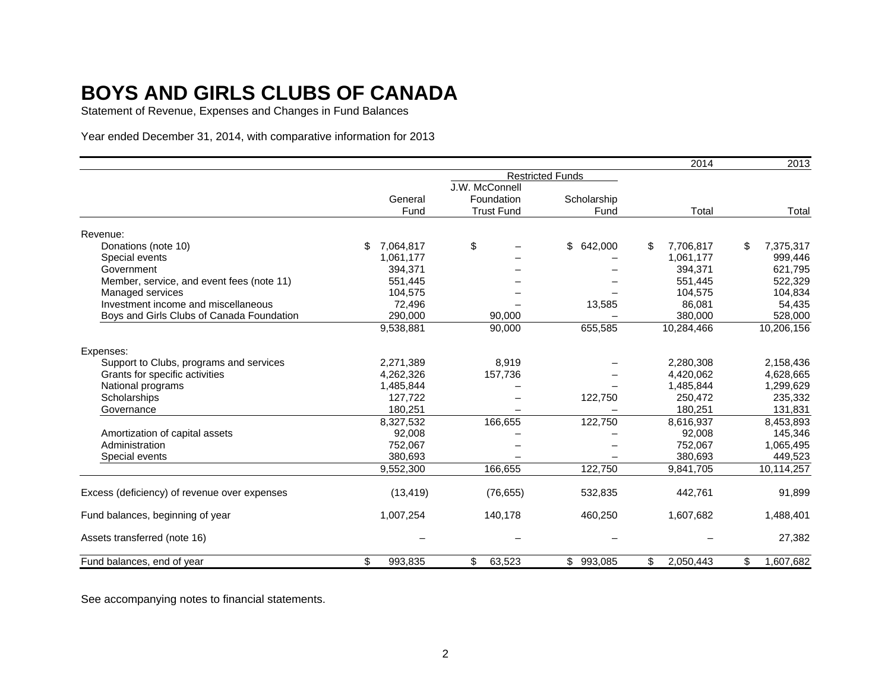Statement of Revenue, Expenses and Changes in Fund Balances

Year ended December 31, 2014, with comparative information for 2013

|                                              |                 |                   |                         | 2014            | 2013            |
|----------------------------------------------|-----------------|-------------------|-------------------------|-----------------|-----------------|
|                                              |                 |                   | <b>Restricted Funds</b> |                 |                 |
|                                              |                 | J.W. McConnell    |                         |                 |                 |
|                                              | General         | Foundation        | Scholarship             |                 |                 |
|                                              | Fund            | <b>Trust Fund</b> | Fund                    | Total           | Total           |
| Revenue:                                     |                 |                   |                         |                 |                 |
| Donations (note 10)                          | 7,064,817<br>\$ | \$                | \$<br>642,000           | 7,706,817<br>\$ | 7,375,317<br>\$ |
| Special events                               | 1,061,177       |                   |                         | 1,061,177       | 999,446         |
| Government                                   | 394,371         |                   |                         | 394,371         | 621,795         |
| Member, service, and event fees (note 11)    | 551,445         |                   |                         | 551,445         | 522,329         |
| Managed services                             | 104,575         |                   |                         | 104,575         | 104,834         |
| Investment income and miscellaneous          | 72,496          |                   | 13,585                  | 86,081          | 54,435          |
| Boys and Girls Clubs of Canada Foundation    | 290,000         | 90,000            |                         | 380,000         | 528,000         |
|                                              | 9,538,881       | 90,000            | 655,585                 | 10,284,466      | 10,206,156      |
| Expenses:                                    |                 |                   |                         |                 |                 |
| Support to Clubs, programs and services      | 2.271.389       | 8,919             |                         | 2,280,308       | 2,158,436       |
| Grants for specific activities               | 4,262,326       | 157,736           |                         | 4,420,062       | 4,628,665       |
| National programs                            | 1,485,844       |                   |                         | 1,485,844       | 1,299,629       |
| Scholarships                                 | 127,722         |                   | 122,750                 | 250,472         | 235,332         |
| Governance                                   | 180,251         |                   |                         | 180,251         | 131,831         |
|                                              | 8,327,532       | 166,655           | 122,750                 | 8,616,937       | 8,453,893       |
| Amortization of capital assets               | 92,008          |                   |                         | 92,008          | 145,346         |
| Administration                               | 752,067         |                   |                         | 752,067         | 1,065,495       |
| Special events                               | 380,693         |                   |                         | 380,693         | 449,523         |
|                                              | 9,552,300       | 166.655           | 122,750                 | 9.841.705       | 10,114,257      |
| Excess (deficiency) of revenue over expenses | (13, 419)       | (76, 655)         | 532,835                 | 442,761         | 91,899          |
| Fund balances, beginning of year             | 1,007,254       | 140,178           | 460,250                 | 1,607,682       | 1,488,401       |
| Assets transferred (note 16)                 |                 |                   |                         |                 | 27,382          |
| Fund balances, end of year                   | \$<br>993,835   | \$<br>63,523      | \$993,085               | \$<br>2,050,443 | \$<br>1,607,682 |

See accompanying notes to financial statements.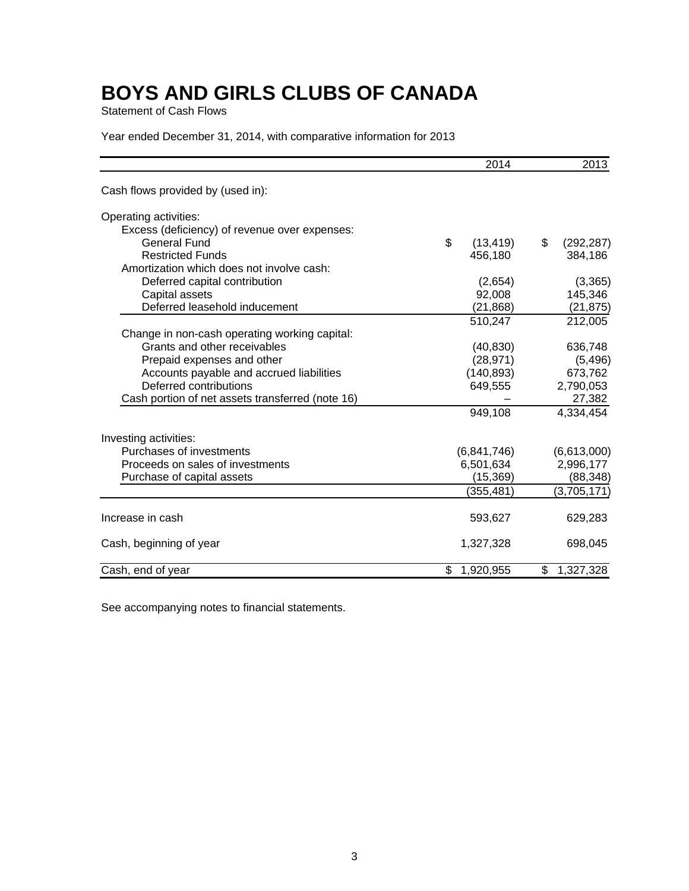Statement of Cash Flows

Year ended December 31, 2014, with comparative information for 2013

|                                                  | 2014            | 2013             |
|--------------------------------------------------|-----------------|------------------|
| Cash flows provided by (used in):                |                 |                  |
| Operating activities:                            |                 |                  |
| Excess (deficiency) of revenue over expenses:    |                 |                  |
| General Fund                                     | \$<br>(13, 419) | \$<br>(292, 287) |
| <b>Restricted Funds</b>                          | 456,180         | 384,186          |
| Amortization which does not involve cash:        |                 |                  |
| Deferred capital contribution                    | (2,654)         | (3, 365)         |
| Capital assets                                   | 92,008          | 145,346          |
| Deferred leasehold inducement                    | (21, 868)       | (21, 875)        |
|                                                  | 510,247         | 212,005          |
| Change in non-cash operating working capital:    |                 |                  |
| Grants and other receivables                     | (40, 830)       | 636,748          |
| Prepaid expenses and other                       | (28, 971)       | (5, 496)         |
| Accounts payable and accrued liabilities         | (140, 893)      | 673,762          |
| Deferred contributions                           | 649,555         | 2,790,053        |
| Cash portion of net assets transferred (note 16) |                 | 27,382           |
|                                                  | 949,108         | 4,334,454        |
| Investing activities:                            |                 |                  |
| Purchases of investments                         | (6, 841, 746)   | (6,613,000)      |
| Proceeds on sales of investments                 | 6,501,634       | 2,996,177        |
| Purchase of capital assets                       | (15, 369)       | (88, 348)        |
|                                                  | (355, 481)      | (3,705,171)      |
| Increase in cash                                 | 593,627         | 629,283          |
| Cash, beginning of year                          | 1,327,328       | 698,045          |
| Cash, end of year                                | \$<br>1,920,955 | \$<br>1,327,328  |

See accompanying notes to financial statements.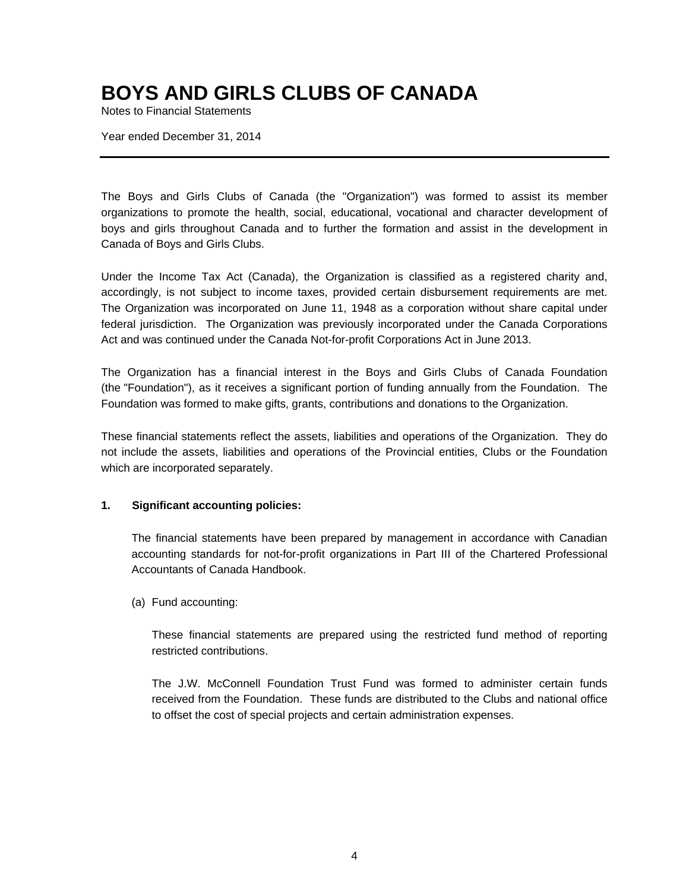Notes to Financial Statements

Year ended December 31, 2014

The Boys and Girls Clubs of Canada (the "Organization") was formed to assist its member organizations to promote the health, social, educational, vocational and character development of boys and girls throughout Canada and to further the formation and assist in the development in Canada of Boys and Girls Clubs.

Under the Income Tax Act (Canada), the Organization is classified as a registered charity and, accordingly, is not subject to income taxes, provided certain disbursement requirements are met. The Organization was incorporated on June 11, 1948 as a corporation without share capital under federal jurisdiction. The Organization was previously incorporated under the Canada Corporations Act and was continued under the Canada Not-for-profit Corporations Act in June 2013.

The Organization has a financial interest in the Boys and Girls Clubs of Canada Foundation (the "Foundation"), as it receives a significant portion of funding annually from the Foundation. The Foundation was formed to make gifts, grants, contributions and donations to the Organization.

These financial statements reflect the assets, liabilities and operations of the Organization. They do not include the assets, liabilities and operations of the Provincial entities, Clubs or the Foundation which are incorporated separately.

#### **1. Significant accounting policies:**

The financial statements have been prepared by management in accordance with Canadian accounting standards for not-for-profit organizations in Part III of the Chartered Professional Accountants of Canada Handbook.

(a) Fund accounting:

These financial statements are prepared using the restricted fund method of reporting restricted contributions.

The J.W. McConnell Foundation Trust Fund was formed to administer certain funds received from the Foundation. These funds are distributed to the Clubs and national office to offset the cost of special projects and certain administration expenses.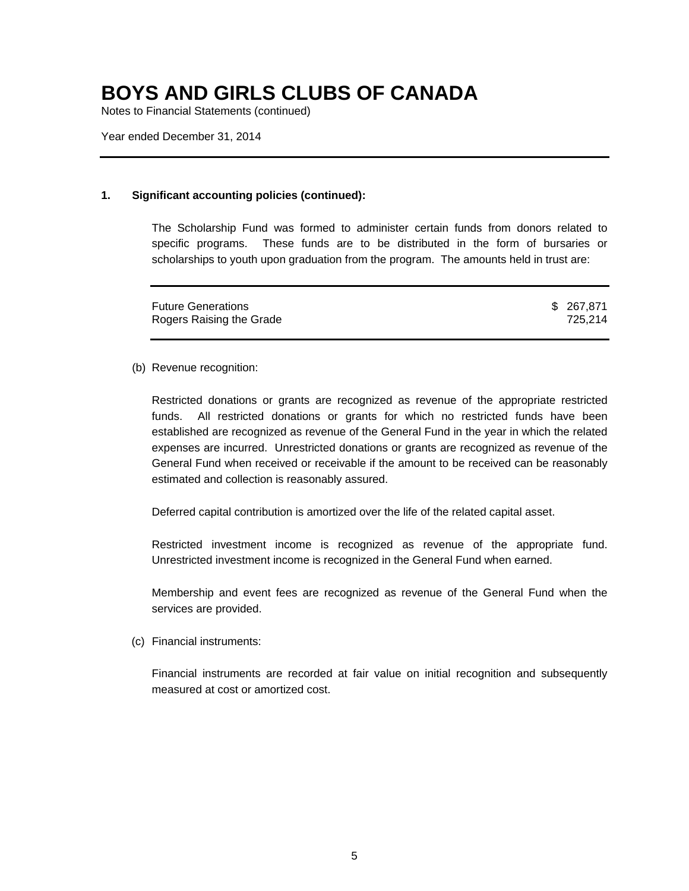Notes to Financial Statements (continued)

Year ended December 31, 2014

#### **1. Significant accounting policies (continued):**

The Scholarship Fund was formed to administer certain funds from donors related to specific programs. These funds are to be distributed in the form of bursaries or scholarships to youth upon graduation from the program. The amounts held in trust are:

| <b>Future Generations</b> | \$267.871 |
|---------------------------|-----------|
|                           |           |
| Rogers Raising the Grade  | 725.214   |

#### (b) Revenue recognition:

Restricted donations or grants are recognized as revenue of the appropriate restricted funds. All restricted donations or grants for which no restricted funds have been established are recognized as revenue of the General Fund in the year in which the related expenses are incurred. Unrestricted donations or grants are recognized as revenue of the General Fund when received or receivable if the amount to be received can be reasonably estimated and collection is reasonably assured.

Deferred capital contribution is amortized over the life of the related capital asset.

Restricted investment income is recognized as revenue of the appropriate fund. Unrestricted investment income is recognized in the General Fund when earned.

Membership and event fees are recognized as revenue of the General Fund when the services are provided.

(c) Financial instruments:

Financial instruments are recorded at fair value on initial recognition and subsequently measured at cost or amortized cost.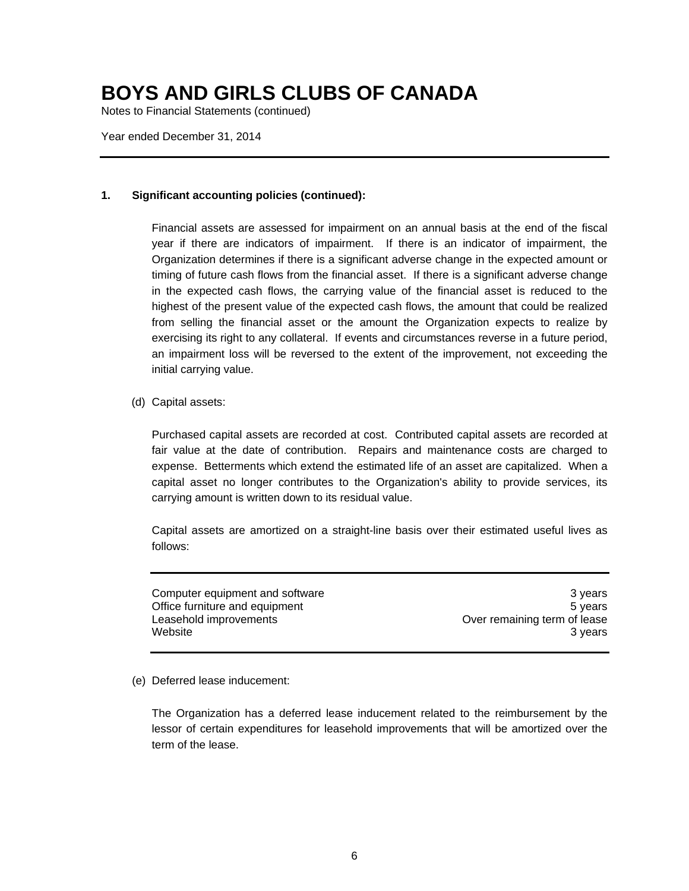Notes to Financial Statements (continued)

Year ended December 31, 2014

#### **1. Significant accounting policies (continued):**

Financial assets are assessed for impairment on an annual basis at the end of the fiscal year if there are indicators of impairment. If there is an indicator of impairment, the Organization determines if there is a significant adverse change in the expected amount or timing of future cash flows from the financial asset. If there is a significant adverse change in the expected cash flows, the carrying value of the financial asset is reduced to the highest of the present value of the expected cash flows, the amount that could be realized from selling the financial asset or the amount the Organization expects to realize by exercising its right to any collateral. If events and circumstances reverse in a future period, an impairment loss will be reversed to the extent of the improvement, not exceeding the initial carrying value.

(d) Capital assets:

Purchased capital assets are recorded at cost. Contributed capital assets are recorded at fair value at the date of contribution. Repairs and maintenance costs are charged to expense. Betterments which extend the estimated life of an asset are capitalized. When a capital asset no longer contributes to the Organization's ability to provide services, its carrying amount is written down to its residual value.

Capital assets are amortized on a straight-line basis over their estimated useful lives as follows:

Computer equipment and software 3 years 3 years Office furniture and equipment 5 years 5 years 5 years 5 years 5 years 5 years 5 years 5 years 5 years 5 years Leasehold improvements **Containers** Cover remaining term of lease website 3 years 3 years and the set of the set of the set of the set of the set of the set of the set of the set of the set of the set of the set of the set of the set of the set of the set of the set of the set of the set

#### (e) Deferred lease inducement:

The Organization has a deferred lease inducement related to the reimbursement by the lessor of certain expenditures for leasehold improvements that will be amortized over the term of the lease.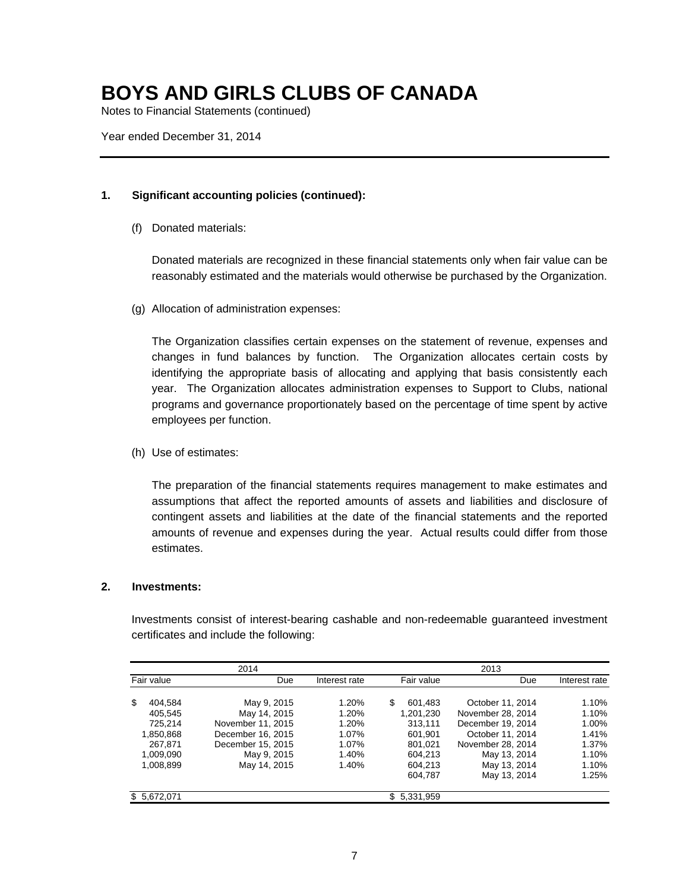Notes to Financial Statements (continued)

Year ended December 31, 2014

#### **1. Significant accounting policies (continued):**

(f) Donated materials:

Donated materials are recognized in these financial statements only when fair value can be reasonably estimated and the materials would otherwise be purchased by the Organization.

(g) Allocation of administration expenses:

The Organization classifies certain expenses on the statement of revenue, expenses and changes in fund balances by function. The Organization allocates certain costs by identifying the appropriate basis of allocating and applying that basis consistently each year. The Organization allocates administration expenses to Support to Clubs, national programs and governance proportionately based on the percentage of time spent by active employees per function.

(h) Use of estimates:

The preparation of the financial statements requires management to make estimates and assumptions that affect the reported amounts of assets and liabilities and disclosure of contingent assets and liabilities at the date of the financial statements and the reported amounts of revenue and expenses during the year. Actual results could differ from those estimates.

#### **2. Investments:**

Investments consist of interest-bearing cashable and non-redeemable guaranteed investment certificates and include the following:

|               | 2014              |               |               | 2013              |               |
|---------------|-------------------|---------------|---------------|-------------------|---------------|
| Fair value    | Due               | Interest rate | Fair value    | Due               | Interest rate |
|               |                   |               |               |                   |               |
| \$<br>404.584 | May 9, 2015       | 1.20%         | \$<br>601.483 | October 11, 2014  | 1.10%         |
| 405.545       | May 14, 2015      | 1.20%         | 1,201,230     | November 28, 2014 | 1.10%         |
| 725.214       | November 11, 2015 | 1.20%         | 313.111       | December 19, 2014 | 1.00%         |
| 1,850,868     | December 16, 2015 | 1.07%         | 601.901       | October 11, 2014  | 1.41%         |
| 267.871       | December 15, 2015 | 1.07%         | 801,021       | November 28, 2014 | 1.37%         |
| 1.009.090     | May 9, 2015       | 1.40%         | 604.213       | May 13, 2014      | 1.10%         |
| 1.008.899     | May 14, 2015      | 1.40%         | 604.213       | May 13, 2014      | 1.10%         |
|               |                   |               | 604,787       | May 13, 2014      | 1.25%         |
| \$5.672.071   |                   |               | \$5,331,959   |                   |               |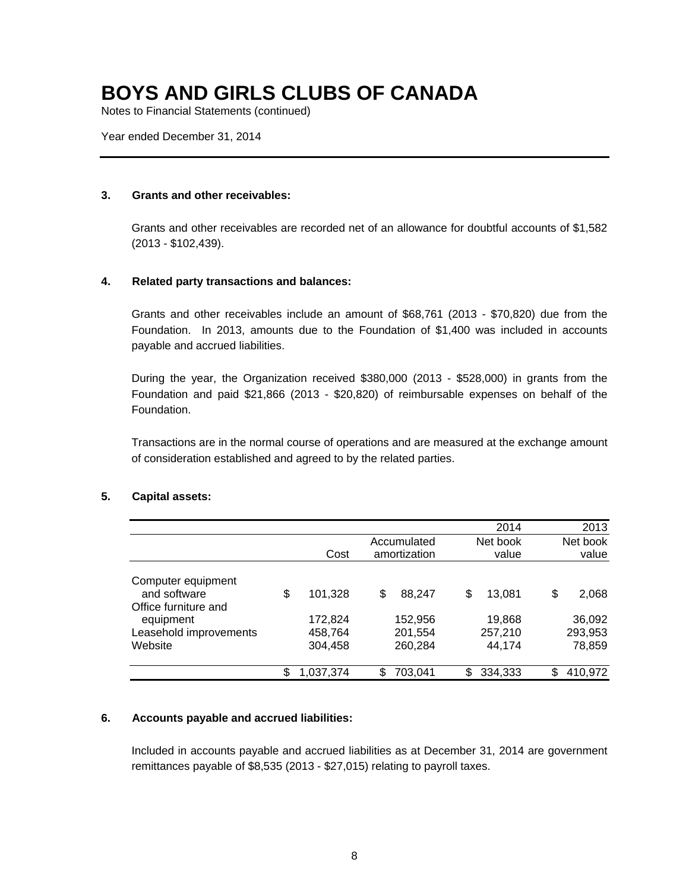Notes to Financial Statements (continued)

#### Year ended December 31, 2014

#### **3. Grants and other receivables:**

Grants and other receivables are recorded net of an allowance for doubtful accounts of \$1,582 (2013 - \$102,439).

#### **4. Related party transactions and balances:**

Grants and other receivables include an amount of \$68,761 (2013 - \$70,820) due from the Foundation. In 2013, amounts due to the Foundation of \$1,400 was included in accounts payable and accrued liabilities.

During the year, the Organization received \$380,000 (2013 - \$528,000) in grants from the Foundation and paid \$21,866 (2013 - \$20,820) of reimbursable expenses on behalf of the Foundation.

Transactions are in the normal course of operations and are measured at the exchange amount of consideration established and agreed to by the related parties.

#### **5. Capital assets:**

|                                    |    |           |               | 2014          |    | 2013     |
|------------------------------------|----|-----------|---------------|---------------|----|----------|
|                                    |    |           | Accumulated   | Net book      |    | Net book |
|                                    |    | Cost      | amortization  | value         |    | value    |
| Computer equipment<br>and software | \$ | 101.328   | \$<br>88.247  | \$<br>13.081  | \$ | 2,068    |
| Office furniture and               |    |           |               |               |    |          |
| equipment                          |    | 172,824   | 152,956       | 19,868        |    | 36,092   |
| Leasehold improvements             |    | 458,764   | 201,554       | 257,210       |    | 293,953  |
| Website                            |    | 304.458   | 260,284       | 44.174        |    | 78,859   |
|                                    | S. | 1,037,374 | \$<br>703,041 | \$<br>334,333 | S  | 410,972  |

#### **6. Accounts payable and accrued liabilities:**

Included in accounts payable and accrued liabilities as at December 31, 2014 are government remittances payable of \$8,535 (2013 - \$27,015) relating to payroll taxes.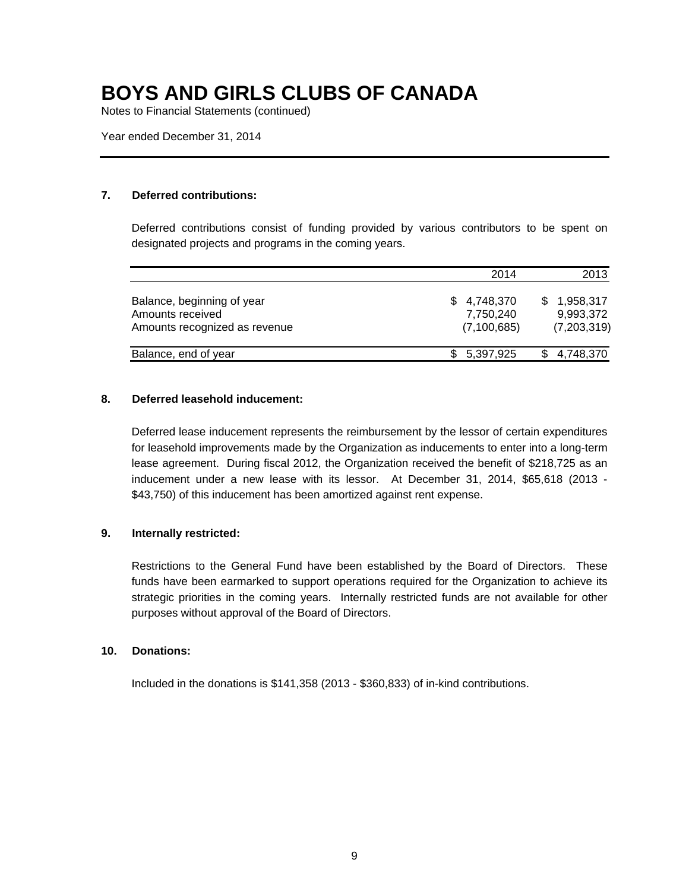Notes to Financial Statements (continued)

Year ended December 31, 2014

#### **7. Deferred contributions:**

Deferred contributions consist of funding provided by various contributors to be spent on designated projects and programs in the coming years.

|                                                                                 | 2014                                      | 2013                                  |
|---------------------------------------------------------------------------------|-------------------------------------------|---------------------------------------|
| Balance, beginning of year<br>Amounts received<br>Amounts recognized as revenue | \$4,748,370<br>7,750,240<br>(7, 100, 685) | 1,958,317<br>9,993,372<br>(7,203,319) |
| Balance, end of year                                                            | 5,397,925                                 | 4,748,370                             |

#### **8. Deferred leasehold inducement:**

Deferred lease inducement represents the reimbursement by the lessor of certain expenditures for leasehold improvements made by the Organization as inducements to enter into a long-term lease agreement. During fiscal 2012, the Organization received the benefit of \$218,725 as an inducement under a new lease with its lessor. At December 31, 2014, \$65,618 (2013 - \$43,750) of this inducement has been amortized against rent expense.

#### **9. Internally restricted:**

Restrictions to the General Fund have been established by the Board of Directors. These funds have been earmarked to support operations required for the Organization to achieve its strategic priorities in the coming years. Internally restricted funds are not available for other purposes without approval of the Board of Directors.

#### **10. Donations:**

Included in the donations is \$141,358 (2013 - \$360,833) of in-kind contributions.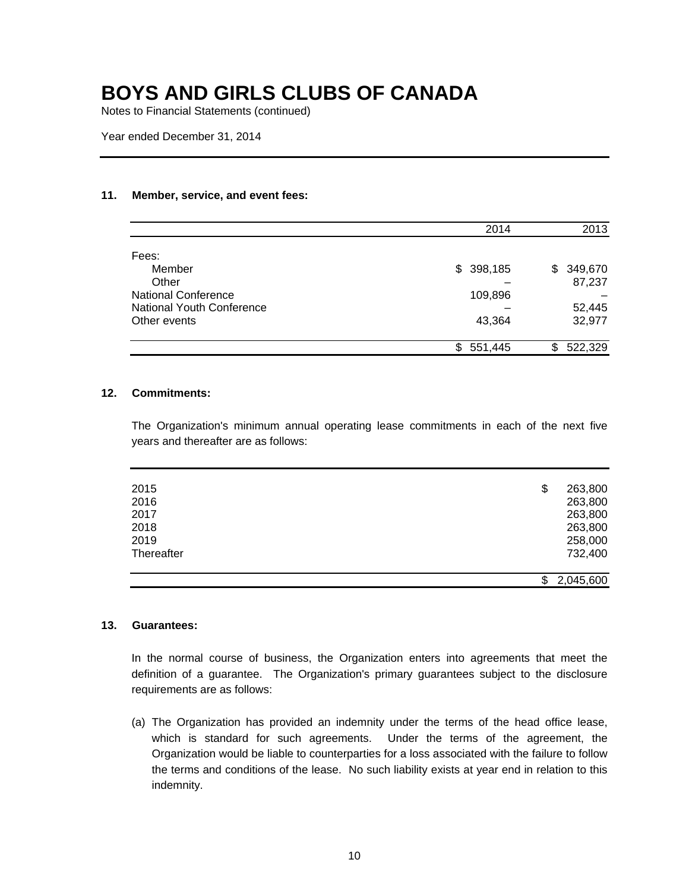Notes to Financial Statements (continued)

Year ended December 31, 2014

#### **11. Member, service, and event fees:**

|                                  | 2014           | 2013          |
|----------------------------------|----------------|---------------|
|                                  |                |               |
| Fees:                            |                |               |
| Member                           | \$398,185      | 349,670<br>\$ |
| Other                            |                | 87,237        |
| <b>National Conference</b>       | 109,896        |               |
| <b>National Youth Conference</b> |                | 52,445        |
| Other events                     | 43,364         | 32,977        |
|                                  | 551,445<br>\$. | 522,329<br>\$ |

#### **12. Commitments:**

The Organization's minimum annual operating lease commitments in each of the next five years and thereafter are as follows:

| 2015       | 263,800<br>\$   |
|------------|-----------------|
| 2016       | 263,800         |
| 2017       | 263,800         |
| 2018       | 263,800         |
| 2019       | 258,000         |
| Thereafter | 732,400         |
|            | 2,045,600<br>\$ |
|            |                 |

#### **13. Guarantees:**

In the normal course of business, the Organization enters into agreements that meet the definition of a guarantee. The Organization's primary guarantees subject to the disclosure requirements are as follows:

(a) The Organization has provided an indemnity under the terms of the head office lease, which is standard for such agreements. Under the terms of the agreement, the Organization would be liable to counterparties for a loss associated with the failure to follow the terms and conditions of the lease. No such liability exists at year end in relation to this indemnity.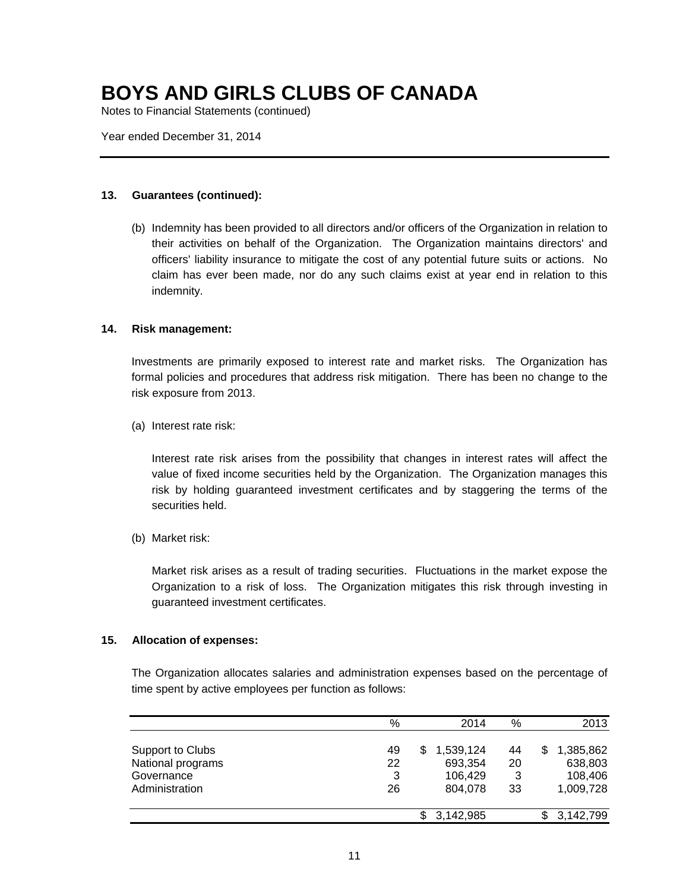Notes to Financial Statements (continued)

Year ended December 31, 2014

#### **13. Guarantees (continued):**

(b) Indemnity has been provided to all directors and/or officers of the Organization in relation to their activities on behalf of the Organization. The Organization maintains directors' and officers' liability insurance to mitigate the cost of any potential future suits or actions. No claim has ever been made, nor do any such claims exist at year end in relation to this indemnity.

#### **14. Risk management:**

Investments are primarily exposed to interest rate and market risks. The Organization has formal policies and procedures that address risk mitigation. There has been no change to the risk exposure from 2013.

(a) Interest rate risk:

Interest rate risk arises from the possibility that changes in interest rates will affect the value of fixed income securities held by the Organization. The Organization manages this risk by holding guaranteed investment certificates and by staggering the terms of the securities held.

(b) Market risk:

Market risk arises as a result of trading securities. Fluctuations in the market expose the Organization to a risk of loss. The Organization mitigates this risk through investing in guaranteed investment certificates.

#### **15. Allocation of expenses:**

The Organization allocates salaries and administration expenses based on the percentage of time spent by active employees per function as follows:

|                   | %  | 2014      | %  |   | 2013      |
|-------------------|----|-----------|----|---|-----------|
| Support to Clubs  | 49 | 1,539,124 | 44 | S | 1,385,862 |
| National programs | 22 | 693,354   | 20 |   | 638,803   |
| Governance        | 3  | 106,429   | 3  |   | 108,406   |
| Administration    | 26 | 804.078   | 33 |   | 1,009,728 |
|                   |    | 3,142,985 |    |   | 3,142,799 |